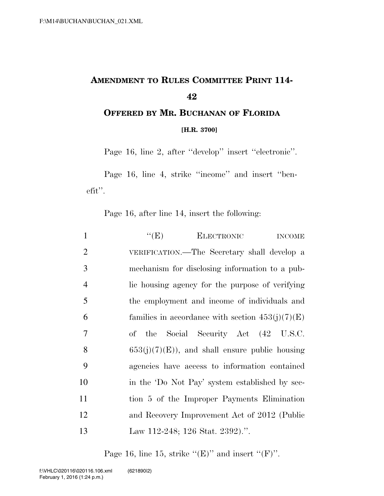## **AMENDMENT TO RULES COMMITTEE PRINT 114- 42**

**OFFERED BY MR. BUCHANAN OF FLORIDA [H.R. 3700]**

Page 16, line 2, after ''develop'' insert ''electronic''.

Page 16, line 4, strike ''income'' and insert ''benefit''.

Page 16, after line 14, insert the following:

| $\mathbf{1}$   | ``(E)<br><b>ELECTRONIC</b><br><b>INCOME</b>        |
|----------------|----------------------------------------------------|
| 2              | VERIFICATION.—The Secretary shall develop a        |
| 3              | mechanism for disclosing information to a pub-     |
| $\overline{4}$ | lic housing agency for the purpose of verifying    |
| 5              | the employment and income of individuals and       |
| 6              | families in accordance with section $453(j)(7)(E)$ |
| 7              | of the Social Security Act (42 U.S.C.              |
| 8              | $653(j)(7)(E)$ , and shall ensure public housing   |
| 9              | agencies have access to information contained      |
| 10             | in the 'Do Not Pay' system established by sec-     |
| 11             | tion 5 of the Improper Payments Elimination        |
| 12             | and Recovery Improvement Act of 2012 (Public       |
| 13             | Law 112-248; 126 Stat. 2392).".                    |
|                |                                                    |

Page 16, line 15, strike " $(E)$ " and insert " $(F)$ ".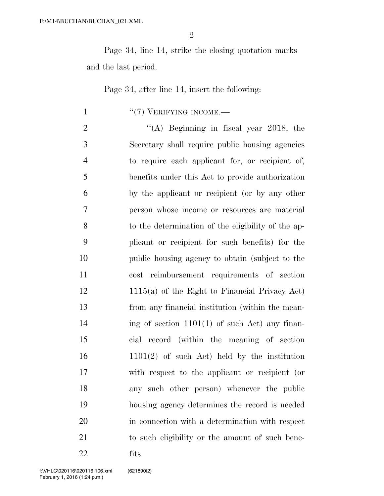Page 34, line 14, strike the closing quotation marks and the last period.

Page 34, after line 14, insert the following:

1  $((7)$  VERIFYING INCOME.

 $\frac{1}{2}$  (A) Beginning in fiscal year 2018, the Secretary shall require public housing agencies to require each applicant for, or recipient of, benefits under this Act to provide authorization by the applicant or recipient (or by any other person whose income or resources are material to the determination of the eligibility of the ap- plicant or recipient for such benefits) for the public housing agency to obtain (subject to the cost reimbursement requirements of section 1115(a) of the Right to Financial Privacy Act) from any financial institution (within the mean-14 ing of section  $1101(1)$  of such Act) any finan- cial record (within the meaning of section 1101(2) of such Act) held by the institution with respect to the applicant or recipient (or any such other person) whenever the public housing agency determines the record is needed in connection with a determination with respect to such eligibility or the amount of such bene-fits.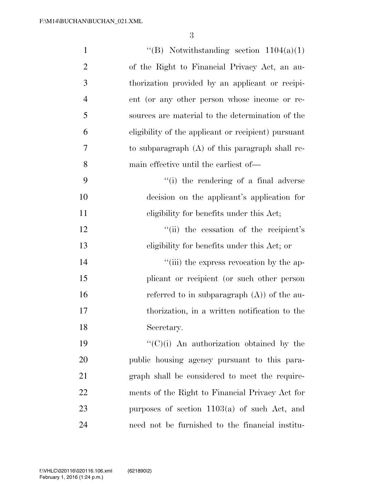| $\mathbf{1}$   | "(B) Notwithstanding section $1104(a)(1)$           |
|----------------|-----------------------------------------------------|
| $\overline{2}$ | of the Right to Financial Privacy Act, an au-       |
| 3              | thorization provided by an applicant or recipi-     |
| $\overline{4}$ | ent (or any other person whose income or re-        |
| 5              | sources are material to the determination of the    |
| 6              | eligibility of the applicant or recipient) pursuant |
| $\overline{7}$ | to subparagraph $(A)$ of this paragraph shall re-   |
| 8              | main effective until the earliest of—               |
| 9              | "(i) the rendering of a final adverse               |
| 10             | decision on the applicant's application for         |
| 11             | eligibility for benefits under this Act;            |
| 12             | "(ii) the cessation of the recipient's              |
| 13             | eligibility for benefits under this Act; or         |
| 14             | "(iii) the express revocation by the ap-            |
| 15             | plicant or recipient (or such other person          |
| 16             | referred to in subparagraph $(A)$ of the au-        |
| 17             | thorization, in a written notification to the       |
| 18             | Secretary.                                          |
| 19             | $\lq\lq$ (C)(i) An authorization obtained by the    |
| 20             | public housing agency pursuant to this para-        |
| 21             | graph shall be considered to meet the require-      |
| 22             | ments of the Right to Financial Privacy Act for     |
| 23             | purposes of section $1103(a)$ of such Act, and      |
| 24             | need not be furnished to the financial institu-     |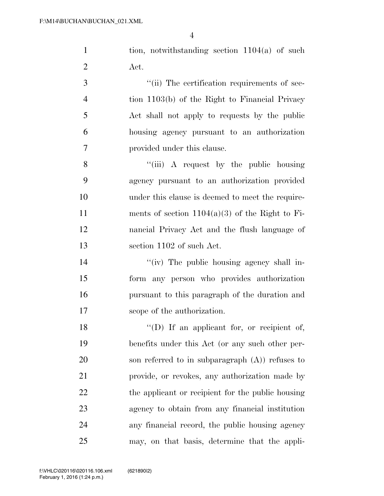tion, notwithstanding section 1104(a) of such Act.

 $\gamma$  (ii) The certification requirements of sec- tion 1103(b) of the Right to Financial Privacy Act shall not apply to requests by the public housing agency pursuant to an authorization provided under this clause.

8 ''(iii) A request by the public housing agency pursuant to an authorization provided under this clause is deemed to meet the require-11 ments of section  $1104(a)(3)$  of the Right to Fi- nancial Privacy Act and the flush language of section 1102 of such Act.

 $''(iv)$  The public housing agency shall in- form any person who provides authorization pursuant to this paragraph of the duration and scope of the authorization.

18 "(D) If an applicant for, or recipient of, benefits under this Act (or any such other per- son referred to in subparagraph (A)) refuses to provide, or revokes, any authorization made by 22 the applicant or recipient for the public housing agency to obtain from any financial institution any financial record, the public housing agency may, on that basis, determine that the appli-